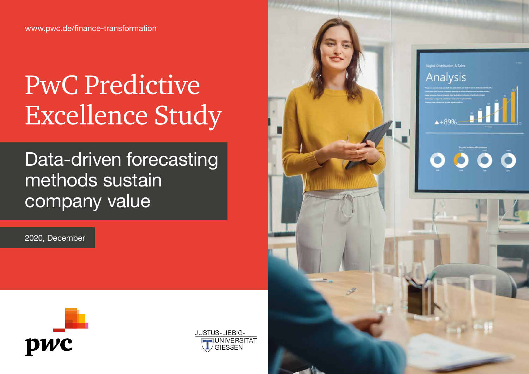# PwC Predictive Excellence Study

Data-driven forecasting methods sustain company value

2020, December





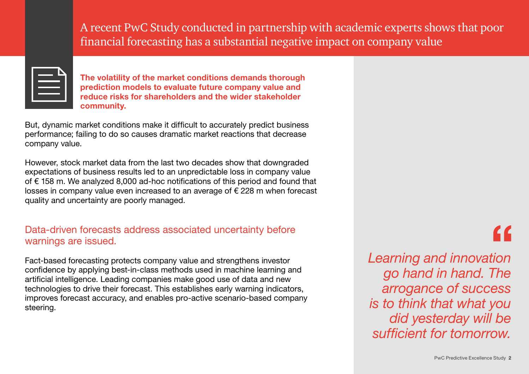A recent PwC Study conducted in partnership with academic experts shows that poor financial forecasting has a substantial negative impact on company value

**The volatility of the market conditions demands thorough prediction models to evaluate future company value and reduce risks for shareholders and the wider stakeholder community.**

But, dynamic market conditions make it difficult to accurately predict business performance; failing to do so causes dramatic market reactions that decrease company value.

However, stock market data from the last two decades show that downgraded expectations of business results led to an unpredictable loss in company value of € 158 m. We analyzed 8,000 ad-hoc notifications of this period and found that losses in company value even increased to an average of € 228 m when forecast quality and uncertainty are poorly managed.

#### Data-driven forecasts address associated uncertainty before warnings are issued.

Fact-based forecasting protects company value and strengthens investor confidence by applying best-in-class methods used in machine learning and artificial intelligence. Leading companies make good use of data and new technologies to drive their forecast. This establishes early warning indicators, improves forecast accuracy, and enables pro-active scenario-based company steering.

# "

*Learning and innovation go hand in hand. The arrogance of success is to think that what you did yesterday will be sufficient for tomorrow.*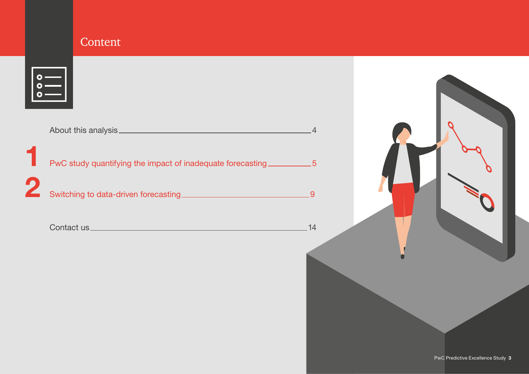### **Content**

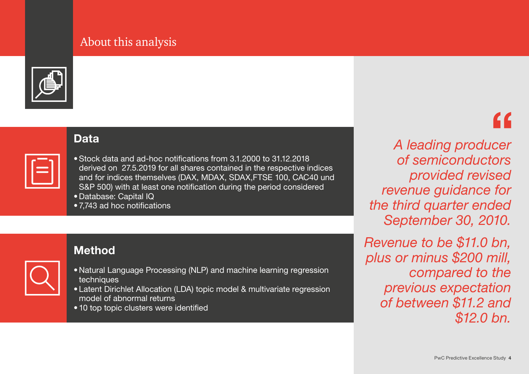### About this analysis

<span id="page-3-0"></span>

#### **Data**

| the control of the con-<br>and the state of the state of the state of the state of the state of the state of the state of the state of th<br>___<br><b>STATE OF BUILDING</b> |  |
|------------------------------------------------------------------------------------------------------------------------------------------------------------------------------|--|
|                                                                                                                                                                              |  |

- •Stock data and ad-hoc notifications from 3.1.2000 to 31.12.2018 derived on 27.5.2019 for all shares contained in the respective indices and for indices themselves (DAX, MDAX, SDAX,FTSE 100, CAC40 und S&P 500) with at least one notification during the period considered
- Database: Capital IQ
- 7,743 ad hoc notifications

# **Method**

- 
- Natural Language Processing (NLP) and machine learning regression techniques
- Latent Dirichlet Allocation (LDA) topic model & multivariate regression model of abnormal returns
- 10 top topic clusters were identified

*A leading producer of semiconductors provided revised revenue guidance for the third quarter ended September 30, 2010.* 

*Revenue to be \$11.0 bn, plus or minus \$200 mill, compared to the previous expectation of between \$11.2 and \$12.0 bn.*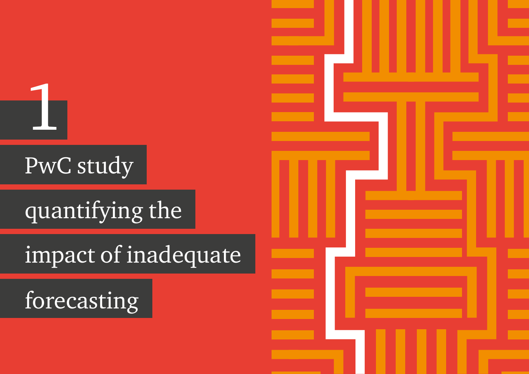# PwC study

<span id="page-4-0"></span>1

# quantifying the

# impact of inadequate

forecasting

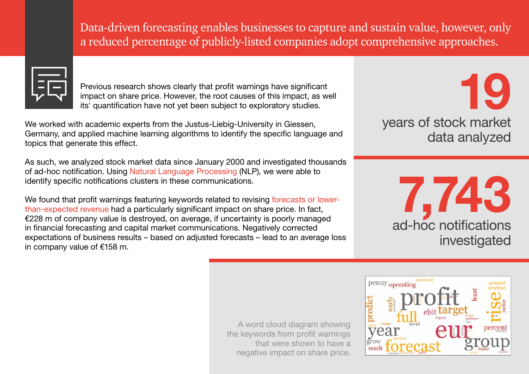Data-driven forecasting enables businesses to capture and sustain value, however, only a reduced percentage of publicly-listed companies adopt comprehensive approaches.



Previous research shows clearly that profit warnings have significant impact on share price. However, the root causes of this impact, as well its' quantification have not yet been subject to exploratory studies.

We worked with academic experts from the Justus-Liebig-University in Giessen, Germany, and applied machine learning algorithms to identify the specific language and topics that generate this effect.

As such, we analyzed stock market data since January 2000 and investigated thousands of ad-hoc notification. Using Natural Language Processing (NLP), we were able to identify specific notifications clusters in these communications.

We found that profit warnings featuring keywords related to revising forecasts or lowerthan-expected revenue had a particularly significant impact on share price. In fact, €228 m of company value is destroyed, on average, if uncertainty is poorly managed in financial forecasting and capital market communications. Negatively corrected expectations of business results – based on adjusted forecasts – lead to an average loss in company value of €158 m.

years of stock market data analyzed **19**

> ad-hoc notifications investigated **7,743**

A word cloud diagram showing the keywords from profit warnings that were shown to have a negative impact on share price.

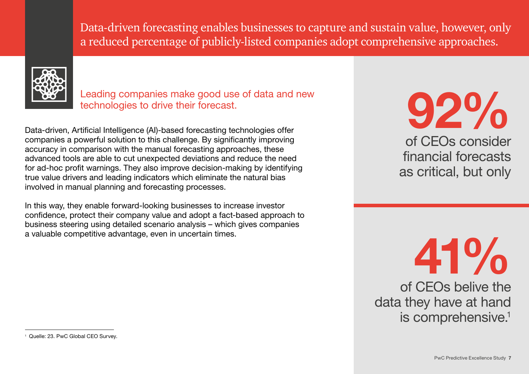Data-driven forecasting enables businesses to capture and sustain value, however, only a reduced percentage of publicly-listed companies adopt comprehensive approaches.



Leading companies make good use of data and new technologies to drive their forecast.

Data-driven, Artificial Intelligence (AI)-based forecasting technologies offer companies a powerful solution to this challenge. By significantly improving accuracy in comparison with the manual forecasting approaches, these advanced tools are able to cut unexpected deviations and reduce the need for ad-hoc profit warnings. They also improve decision-making by identifying true value drivers and leading indicators which eliminate the natural bias involved in manual planning and forecasting processes.

In this way, they enable forward-looking businesses to increase investor confidence, protect their company value and adopt a fact-based approach to business steering using detailed scenario analysis – which gives companies a valuable competitive advantage, even in uncertain times.

of CEOs consider financial forecasts as critical, but only **92%**

of CEOs belive the data they have at hand is comprehensive.<sup>1</sup> **41%**

<sup>&</sup>lt;sup>1</sup> Quelle: 23. PwC Global CEO Survey.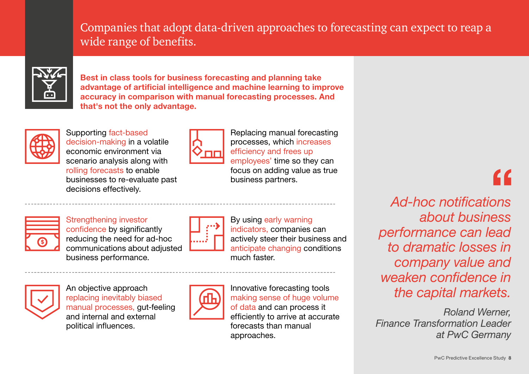### Companies that adopt data-driven approaches to forecasting can expect to reap a wide range of benefits.



**Best in class tools for business forecasting and planning take advantage of artificial intelligence and machine learning to improve accuracy in comparison with manual forecasting processes. And that's not the only advantage.**



Supporting fact-based decision-making in a volatile economic environment via scenario analysis along with rolling forecasts to enable businesses to re-evaluate past decisions effectively.



Replacing manual forecasting processes, which increases efficiency and frees up employees' time so they can focus on adding value as true business partners.



Strengthening investor

confidence by significantly reducing the need for ad-hoc communications about adjusted business performance.



An objective approach replacing inevitably biased manual processes, gut-feeling and internal and external political influences.



By using early warning indicators, companies can actively steer their business and anticipate changing conditions much faster.



Innovative forecasting tools making sense of huge volume of data and can process it efficiently to arrive at accurate forecasts than manual approaches.

*Ad-hoc notifications about business performance can lead to dramatic losses in company value and weaken confidence in the capital markets.* 

*Roland Werner, Finance Transformation Leader at PwC Germany*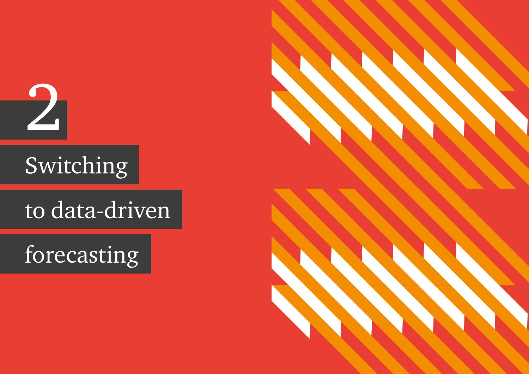<span id="page-8-0"></span>2

# Switching

# to data-driven

forecasting

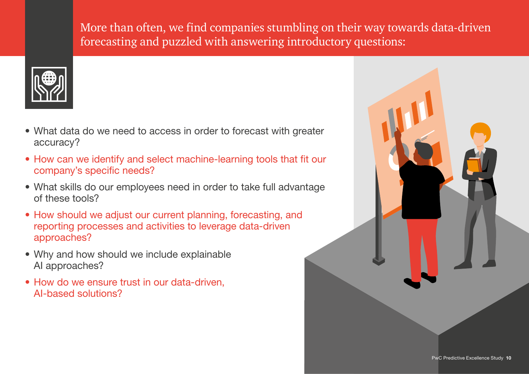More than often, we find companies stumbling on their way towards data-driven forecasting and puzzled with answering introductory questions:



- What data do we need to access in order to forecast with greater accuracy?
- How can we identify and select machine-learning tools that fit our company's specific needs?
- What skills do our employees need in order to take full advantage of these tools?
- How should we adjust our current planning, forecasting, and reporting processes and activities to leverage data-driven approaches?
- Why and how should we include explainable AI approaches?
- How do we ensure trust in our data-driven, AI-based solutions?

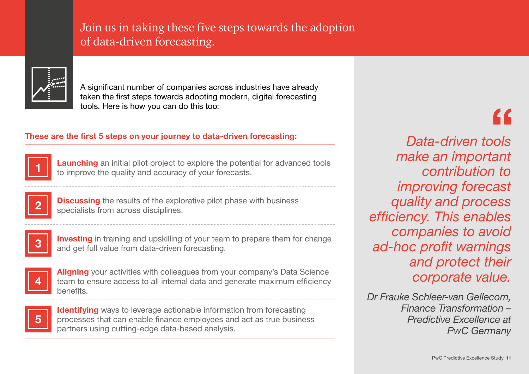### Join us in taking these five steps towards the adoption of data-driven forecasting.



A significant number of companies across industries have already taken the first steps towards adopting modern, digital forecasting tools. Here is how you can do this too:

## **These are the first 5 steps on your journey to data-driven forecasting:** *Data-driven tools*



**1 Launching** an initial pilot project to explore the potential for advanced tools to improve the quality and accuracy of your forecasts.



**Discussing** the results of the explorative pilot phase with business specialists from across disciplines.



**Investing** in training and upskilling of your team to prepare them for change and get full value from data-driven forecasting.



**Aligning** your activities with colleagues from your company's Data Science team to ensure access to all internal data and generate maximum efficiency benefits.



**Identifying** ways to leverage actionable information from forecasting processes that can enable finance employees and act as true business partners using cutting-edge data-based analysis.

*make an important contribution to improving forecast quality and process efficiency. This enables companies to avoid ad-hoc profit warnings and protect their corporate value.*

*Dr Frauke Schleer-van Gellecom, Finance Transformation – Predictive Excellence at PwC Germany*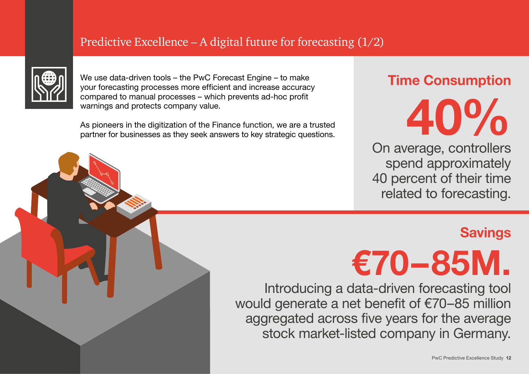## Predictive Excellence – A digital future for forecasting  $(1/2)$



We use data-driven tools – the PwC Forecast Engine – to make your forecasting processes more efficient and increase accuracy compared to manual processes – which prevents ad-hoc profit warnings and protects company value.

As pioneers in the digitization of the Finance function, we are a trusted partner for businesses as they seek answers to key strategic questions.

# **Time Consumption**

On average, controllers spend approximately 40 percent of their time related to forecasting. **40%**

# **Savings**



Introducing a data-driven forecasting tool would generate a net benefit of €70–85 million aggregated across five years for the average stock market-listed company in Germany.

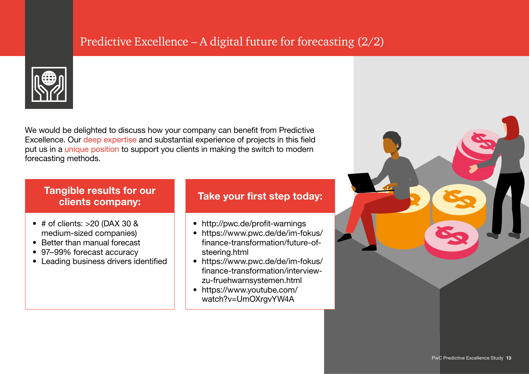# Predictive Excellence – A digital future for forecasting (2/2)



We would be delighted to discuss how your company can benefit from Predictive Excellence. Our deep expertise and substantial experience of projects in this field put us in a unique position to support you clients in making the switch to modern forecasting methods.

#### **Tangible results for our clients company:**

- $\bullet$  # of clients: >20 (DAX 30 & medium-sized companies)
- Better than manual forecast
- 97–99% forecast accuracy
- Leading business drivers identified

#### **Take your first step today:**

- <http://pwc.de/profit-warnings>
- [https://www.pwc.de/de/im-fokus/](https://www.pwc.de/de/im-fokus/finance-transformation/future-of-steering.html) finance-transformation/future-ofsteering.html
- [https://www.pwc.de/de/im-fokus/](https://www.pwc.de/de/im-fokus/finance-transformation/interview-zu-fruehwarnsystemen.html) finance-transformation/interviewzu-fruehwarnsystemen.html
- [https://www.youtube.com/](https://www.youtube.com/watch?v=UmOXrgvYW4A) watch?v=UmOXrgvYW4A